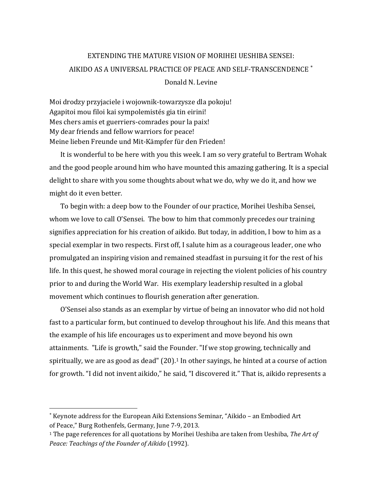# EXTENDING THE MATURE VISION OF MORIHEI UESHIBA SENSEI: AIKIDO AS A UNIVERSAL PRACTICE OF PEACE AND SELF-TRANSCENDENCE

Donald N. Levine

Moi drodzy przyjaciele i wojownik-towarzysze dla pokoju! Agapitoi mou filoi kai sympolemistés gia tin eirini! Mes chers amis et guerriers-comrades pour la paix! My dear friends and fellow warriors for peace! Meine lieben Freunde und Mit-Kämpfer für den Frieden!

It is wonderful to be here with you this week. I am so very grateful to Bertram Wohak and the good people around him who have mounted this amazing gathering. It is a special delight to share with you some thoughts about what we do, why we do it, and how we might do it even better.

To begin with: a deep bow to the Founder of our practice, Morihei Ueshiba Sensei, whom we love to call O'Sensei. The bow to him that commonly precedes our training signifies appreciation for his creation of aikido. But today, in addition, I bow to him as a special exemplar in two respects. First off, I salute him as a courageous leader, one who promulgated an inspiring vision and remained steadfast in pursuing it for the rest of his life. In this quest, he showed moral courage in rejecting the violent policies of his country prior to and during the World War. His exemplary leadership resulted in a global movement which continues to flourish generation after generation.

O'Sensei also stands as an exemplar by virtue of being an innovator who did not hold fast to a particular form, but continued to develop throughout his life. And this means that the example of his life encourages us to experiment and move beyond his own attainments. "Life is growth," said the Founder. "If we stop growing, technically and spiritually, we are as good as dead"  $(20)$ .<sup>1</sup> In other sayings, he hinted at a course of action for growth. "I did not invent aikido," he said, "I discovered it." That is, aikido represents a

 $\overline{a}$ 

<sup>\*</sup> Keynote address for the European Aiki Extensions Seminar, "Aikido - an Embodied Art of Peace," Burg Rothenfels, Germany, June 7-9, 2013.

<sup>1</sup> The page references for all quotations by Morihei Ueshiba are taken from Ueshiba, *The Art of Peace: Teachings of the Founder of Aikido* (1992).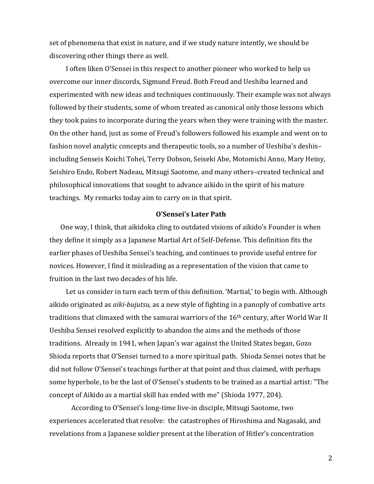set of phenomena that exist in nature, and if we study nature intently, we should be discovering other things there as well.

I often liken O'Sensei in this respect to another pioneer who worked to help us overcome our inner discords, Sigmund Freud. Both Freud and Ueshiba learned and experimented with new ideas and techniques continuously. Their example was not always followed by their students, some of whom treated as canonical only those lessons which they took pains to incorporate during the years when they were training with the master. On the other hand, just as some of Freud's followers followed his example and went on to fashion novel analytic concepts and therapeutic tools, so a number of Ueshiba's deshis– including Senseis Koichi Tohei, Terry Dobson, Seiseki Abe, Motomichi Anno, Mary Heiny, Seishiro Endo, Robert Nadeau, Mitsugi Saotome, and many others–created technical and philosophical innovations that sought to advance aikido in the spirit of his mature teachings. My remarks today aim to carry on in that spirit.

## **O'Sensei's Later Path**

One way, I think, that aikidoka cling to outdated visions of aikido's Founder is when they define it simply as a Japanese Martial Art of Self-Defense. This definition fits the earlier phases of Ueshiba Sensei's teaching, and continues to provide useful entree for novices. However, I find it misleading as a representation of the vision that came to fruition in the last two decades of his life.

Let us consider in turn each term of this definition. 'Martial,' to begin with. Although aikido originated as *aiki-bujutsu*, as a new style of fighting in a panoply of combative arts traditions that climaxed with the samurai warriors of the 16<sup>th</sup> century, after World War II Ueshiba Sensei resolved explicitly to abandon the aims and the methods of those traditions. Already in 1941, when Japan's war against the United States began, Gozo Shioda reports that O'Sensei turned to a more spiritual path. Shioda Sensei notes that he did not follow O'Sensei's teachings further at that point and thus claimed, with perhaps some hyperbole, to be the last of O'Sensei's students to be trained as a martial artist: "The concept of Aikido as a martial skill has ended with me" (Shioda 1977, 204).

According to O'Sensei's long-time live-in disciple, Mitsugi Saotome, two experiences accelerated that resolve: the catastrophes of Hiroshima and Nagasaki, and revelations from a Japanese soldier present at the liberation of Hitler's concentration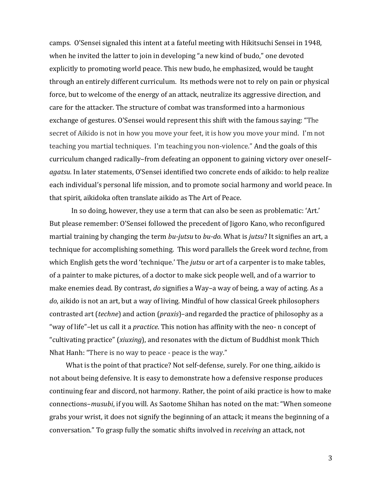camps. O'Sensei signaled this intent at a fateful meeting with Hikitsuchi Sensei in 1948, when he invited the latter to join in developing "a new kind of budo," one devoted explicitly to promoting world peace. This new budo, he emphasized, would be taught through an entirely different curriculum. Its methods were not to rely on pain or physical force, but to welcome of the energy of an attack, neutralize its aggressive direction, and care for the attacker. The structure of combat was transformed into a harmonious exchange of gestures. O'Sensei would represent this shift with the famous saying: "The secret of Aikido is not in how you move your feet, it is how you move your mind. I'm not teaching you martial techniques. I'm teaching you non-violence." And the goals of this curriculum changed radically–from defeating an opponent to gaining victory over oneself– *agatsu.* In later statements, O'Sensei identified two concrete ends of aikido: to help realize each individual's personal life mission, and to promote social harmony and world peace. In that spirit, aikidoka often translate aikido as The Art of Peace.

In so doing, however, they use a term that can also be seen as problematic: 'Art.' But please remember: O'Sensei followed the precedent of Jigoro Kano, who reconfigured martial training by changing the term *bu-jutsu* to *bu-do.* What is *jutsu*? It signifies an art, a technique for accomplishing something. This word parallels the Greek word *techne*, from which English gets the word 'technique.' The *jutsu* or art of a carpenter is to make tables, of a painter to make pictures, of a doctor to make sick people well, and of a warrior to make enemies dead. By contrast, *do* signifies a Way–a way of being, a way of acting. As a *do*, aikido is not an art, but a way of living. Mindful of how classical Greek philosophers contrasted art (*techne*) and action (*praxis*)–and regarded the practice of philosophy as a "way of life"–let us call it a *practice*. This notion has affinity with the neo- n concept of "cultivating practice" (*xiuxing*), and resonates with the dictum of Buddhist monk Thich Nhat Hanh: "There is no way to peace - peace is the way."

What is the point of that practice? Not self-defense, surely. For one thing, aikido is not about being defensive. It is easy to demonstrate how a defensive response produces continuing fear and discord, not harmony. Rather, the point of aiki practice is how to make connections–*musubi*, if you will. As Saotome Shihan has noted on the mat: "When someone grabs your wrist, it does not signify the beginning of an attack; it means the beginning of a conversation." To grasp fully the somatic shifts involved in *receiving* an attack, not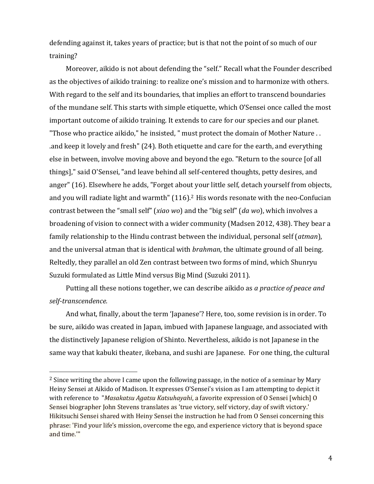defending against it, takes years of practice; but is that not the point of so much of our training?

Moreover, aikido is not about defending the "self." Recall what the Founder described as the objectives of aikido training: to realize one's mission and to harmonize with others. With regard to the self and its boundaries, that implies an effort to transcend boundaries of the mundane self. This starts with simple etiquette, which O'Sensei once called the most important outcome of aikido training. It extends to care for our species and our planet. "Those who practice aikido," he insisted, " must protect the domain of Mother Nature . . .and keep it lovely and fresh" (24). Both etiquette and care for the earth, and everything else in between, involve moving above and beyond the ego. "Return to the source [of all things]," said O'Sensei, "and leave behind all self-centered thoughts, petty desires, and anger" (16). Elsewhere he adds, "Forget about your little self, detach yourself from objects, and you will radiate light and warmth" (116).<sup>2</sup> His words resonate with the neo-Confucian contrast between the "small self" (*xiao wo*) and the "big self" (*da wo*), which involves a broadening of vision to connect with a wider community (Madsen 2012, 438). They bear a family relationship to the Hindu contrast between the individual, personal self (*atman*), and the universal atman that is identical with *brahman*, the ultimate ground of all being. Reltedly, they parallel an old Zen contrast between two forms of mind, which Shunryu Suzuki formulated as Little Mind versus Big Mind (Suzuki 2011).

Putting all these notions together, we can describe aikido as *a practice of peace and self-transcendence.* 

And what, finally, about the term 'Japanese'? Here, too, some revision is in order. To be sure, aikido was created in Japan, imbued with Japanese language, and associated with the distinctively Japanese religion of Shinto. Nevertheless, aikido is not Japanese in the same way that kabuki theater, ikebana, and sushi are Japanese. For one thing, the cultural

l

 $2$  Since writing the above I came upon the following passage, in the notice of a seminar by Mary Heiny Sensei at Aikido of Madison. It expresses O'Sensei's vision as I am attempting to depict it with reference to "*Masakatsu Agatsu Katsuhayahi*, a favorite expression of O Sensei [which] O Sensei biographer John Stevens translates as 'true victory, self victory, day of swift victory.' Hikitsuchi Sensei shared with Heiny Sensei the instruction he had from O Sensei concerning this phrase: 'Find your life's mission, overcome the ego, and experience victory that is beyond space and time.'"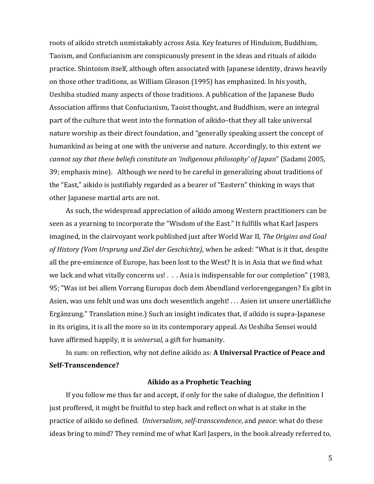roots of aikido stretch unmistakably across Asia. Key features of Hinduism, Buddhism, Taoism, and Confucianism are conspicuously present in the ideas and rituals of aikido practice. Shintoism itself, although often associated with Japanese identity, draws heavily on those other traditions, as William Gleason (1995) has emphasized. In his youth, Ueshiba studied many aspects of those traditions. A publication of the Japanese Budo Association affirms that Confucianism, Taoist thought, and Buddhism, were an integral part of the culture that went into the formation of aikido–that they all take universal nature worship as their direct foundation, and "generally speaking assert the concept of humankind as being at one with the universe and nature. Accordingly, to this extent *we cannot say that these beliefs constitute an 'indigenous philosophy' of Japan*" (Sadami 2005, 39; emphasis mine). Although we need to be careful in generalizing about traditions of the "East," aikido is justifiably regarded as a bearer of "Eastern" thinking in ways that other Japanese martial arts are not.

As such, the widespread appreciation of aikido among Western practitioners can be seen as a yearning to incorporate the "Wisdom of the East." It fulfills what Karl Jaspers imagined, in the clairvoyant work published just after World War II*, The Origins and Goal of History (Vom Ursprung und Ziel der Geschichte)*, when he asked: "What is it that, despite all the pre-eminence of Europe, has been lost to the West? It is in Asia that we find what we lack and what vitally concerns us! . . . Asia is indispensable for our completion" (1983, 95; "Was ist bei allem Vorrang Europas doch dem Abendland verlorengegangen? Es gibt in Asien, was uns fehlt und was uns doch wesentlich angeht! . . . Asien ist unsere unerläßliche Ergänzung." Translation mine.) Such an insight indicates that, if aikido is supra-Japanese in its origins, it is all the more so in its contemporary appeal. As Ueshiba Sensei would have affirmed happily, it is *universal*, a gift for humanity.

In sum: on reflection, why not define aikido as: **A Universal Practice of Peace and Self-Transcendence?**

### **Aikido as a Prophetic Teaching**

If you follow me thus far and accept, if only for the sake of dialogue, the definition I just proffered, it might be fruitful to step back and reflect on what is at stake in the practice of aikido so defined. *Universalism*, *self-transcendence*, and *peace*: what do these ideas bring to mind? They remind me of what Karl Jaspers, in the book already referred to,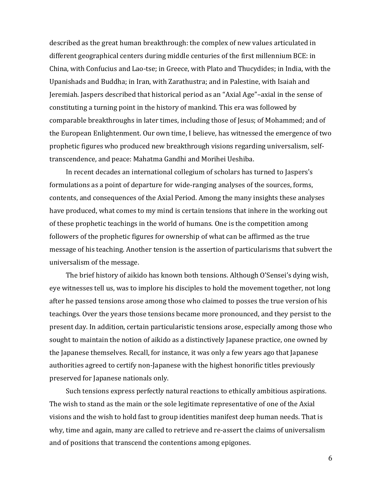described as the great human breakthrough: the complex of new values articulated in different geographical centers during middle centuries of the first millennium BCE: in China, with Confucius and Lao-tse; in Greece, with Plato and Thucydides; in India, with the Upanishads and Buddha; in Iran, with Zarathustra; and in Palestine, with Isaiah and Jeremiah. Jaspers described that historical period as an "Axial Age"–axial in the sense of constituting a turning point in the history of mankind. This era was followed by comparable breakthroughs in later times, including those of Jesus; of Mohammed; and of the European Enlightenment. Our own time, I believe, has witnessed the emergence of two prophetic figures who produced new breakthrough visions regarding universalism, selftranscendence, and peace: Mahatma Gandhi and Morihei Ueshiba.

In recent decades an international collegium of scholars has turned to Jaspers's formulations as a point of departure for wide-ranging analyses of the sources, forms, contents, and consequences of the Axial Period. Among the many insights these analyses have produced, what comes to my mind is certain tensions that inhere in the working out of these prophetic teachings in the world of humans. One is the competition among followers of the prophetic figures for ownership of what can be affirmed as the true message of his teaching. Another tension is the assertion of particularisms that subvert the universalism of the message.

The brief history of aikido has known both tensions. Although O'Sensei's dying wish, eye witnesses tell us, was to implore his disciples to hold the movement together, not long after he passed tensions arose among those who claimed to posses the true version of his teachings. Over the years those tensions became more pronounced, and they persist to the present day. In addition, certain particularistic tensions arose, especially among those who sought to maintain the notion of aikido as a distinctively Japanese practice, one owned by the Japanese themselves. Recall, for instance, it was only a few years ago that Japanese authorities agreed to certify non-Japanese with the highest honorific titles previously preserved for Japanese nationals only.

Such tensions express perfectly natural reactions to ethically ambitious aspirations. The wish to stand as the main or the sole legitimate representative of one of the Axial visions and the wish to hold fast to group identities manifest deep human needs. That is why, time and again, many are called to retrieve and re-assert the claims of universalism and of positions that transcend the contentions among epigones.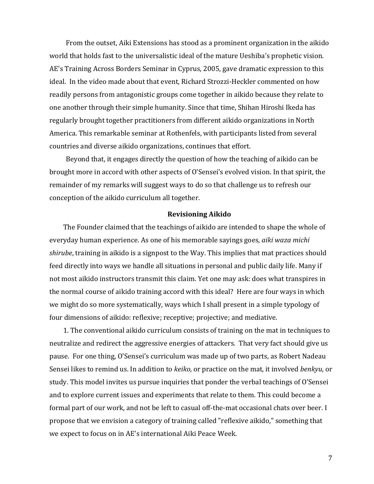From the outset, Aiki Extensions has stood as a prominent organization in the aikido world that holds fast to the universalistic ideal of the mature Ueshiba's prophetic vision. AE's Training Across Borders Seminar in Cyprus, 2005, gave dramatic expression to this ideal. In the video made about that event, Richard Strozzi-Heckler commented on how readily persons from antagonistic groups come together in aikido because they relate to one another through their simple humanity. Since that time, Shihan Hiroshi Ikeda has regularly brought together practitioners from different aikido organizations in North America. This remarkable seminar at Rothenfels, with participants listed from several countries and diverse aikido organizations, continues that effort.

Beyond that, it engages directly the question of how the teaching of aikido can be brought more in accord with other aspects of O'Sensei's evolved vision. In that spirit, the remainder of my remarks will suggest ways to do so that challenge us to refresh our conception of the aikido curriculum all together.

### **Revisioning Aikido**

The Founder claimed that the teachings of aikido are intended to shape the whole of everyday human experience. As one of his memorable sayings goes, *aiki waza michi shirube*, training in aikido is a signpost to the Way. This implies that mat practices should feed directly into ways we handle all situations in personal and public daily life. Many if not most aikido instructors transmit this claim. Yet one may ask: does what transpires in the normal course of aikido training accord with this ideal? Here are four ways in which we might do so more systematically, ways which I shall present in a simple typology of four dimensions of aikido: reflexive; receptive; projective; and mediative.

1. The conventional aikido curriculum consists of training on the mat in techniques to neutralize and redirect the aggressive energies of attackers. That very fact should give us pause. For one thing, O'Sensei's curriculum was made up of two parts, as Robert Nadeau Sensei likes to remind us. In addition to *keiko,* or practice on the mat, it involved *benkyu*, or study. This model invites us pursue inquiries that ponder the verbal teachings of O'Sensei and to explore current issues and experiments that relate to them. This could become a formal part of our work, and not be left to casual off-the-mat occasional chats over beer. I propose that we envision a category of training called "reflexive aikido," something that we expect to focus on in AE's international Aiki Peace Week.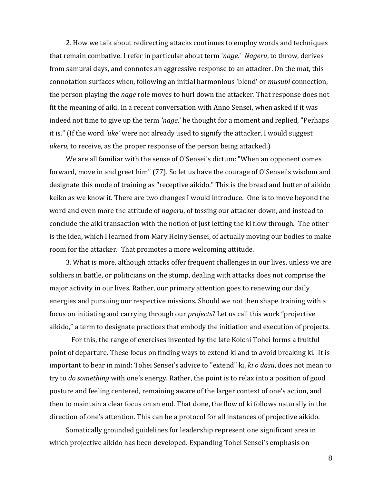2. How we talk about redirecting attacks continues to employ words and techniques that remain combative. I refer in particular about term '*nage*.' *Nageru*, to throw, derives from samurai days, and connotes an aggressive response to an attacker. On the mat, this connotation surfaces when, following an initial harmonious 'blend' or *musubi* connection, the person playing the *nage* role moves to hurl down the attacker. That response does not fit the meaning of aiki. In a recent conversation with Anno Sensei, when asked if it was indeed not time to give up the term *'nage*,' he thought for a moment and replied, "Perhaps it is." (If the word *'uke'* were not already used to signify the attacker, I would suggest *ukeru*, to receive, as the proper response of the person being attacked.)

We are all familiar with the sense of O'Sensei's dictum: "When an opponent comes forward, move in and greet him" (77). So let us have the courage of O'Sensei's wisdom and designate this mode of training as "receptive aikido." This is the bread and butter of aikido keiko as we know it. There are two changes I would introduce. One is to move beyond the word and even more the attitude of *nageru*, of tossing our attacker down, and instead to conclude the aiki transaction with the notion of just letting the ki flow through. The other is the idea, which I learned from Mary Heiny Sensei, of actually moving our bodies to make room for the attacker. That promotes a more welcoming attitude.

3. What is more, although attacks offer frequent challenges in our lives, unless we are soldiers in battle, or politicians on the stump, dealing with attacks does not comprise the major activity in our lives. Rather, our primary attention goes to renewing our daily energies and pursuing our respective missions. Should we not then shape training with a focus on initiating and carrying through our *projects*? Let us call this work "projective aikido," a term to designate practices that embody the initiation and execution of projects.

For this, the range of exercises invented by the late Koichi Tohei forms a fruitful point of departure. These focus on finding ways to extend ki and to avoid breaking ki. It is important to bear in mind: Tohei Sensei's advice to "extend" ki, *ki o dasu*, does not mean to try to *do something* with one's energy. Rather, the point is to relax into a position of good posture and feeling centered, remaining aware of the larger context of one's action, and then to maintain a clear focus on an end. That done, the flow of ki follows naturally in the direction of one's attention. This can be a protocol for all instances of projective aikido.

Somatically grounded guidelines for leadership represent one significant area in which projective aikido has been developed. Expanding Tohei Sensei's emphasis on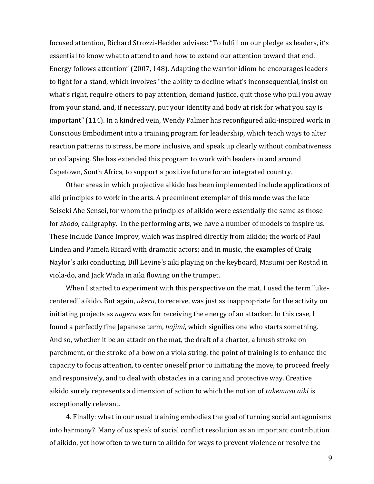focused attention, Richard Strozzi-Heckler advises: "To fulfill on our pledge as leaders, it's essential to know what to attend to and how to extend our attention toward that end. Energy follows attention" (2007, 148). Adapting the warrior idiom he encourages leaders to fight for a stand, which involves "the ability to decline what's inconsequential, insist on what's right, require others to pay attention, demand justice, quit those who pull you away from your stand, and, if necessary, put your identity and body at risk for what you say is important" (114). In a kindred vein, Wendy Palmer has reconfigured aiki-inspired work in Conscious Embodiment into a training program for leadership, which teach ways to alter reaction patterns to stress, be more inclusive, and speak up clearly without combativeness or collapsing. She has extended this program to work with leaders in and around Capetown, South Africa, to support a positive future for an integrated country.

Other areas in which projective aikido has been implemented include applications of aiki principles to work in the arts. A preeminent exemplar of this mode was the late Seiseki Abe Sensei, for whom the principles of aikido were essentially the same as those for *shodo*, calligraphy. In the performing arts, we have a number of models to inspire us. These include Dance Improv, which was inspired directly from aikido; the work of Paul Linden and Pamela Ricard with dramatic actors; and in music, the examples of Craig Naylor's aiki conducting, Bill Levine's aiki playing on the keyboard, Masumi per Rostad in viola-do, and Jack Wada in aiki flowing on the trumpet.

When I started to experiment with this perspective on the mat, I used the term "ukecentered" aikido. But again, *ukeru*, to receive, was just as inappropriate for the activity on initiating projects as *nageru* was for receiving the energy of an attacker. In this case, I found a perfectly fine Japanese term, *hajimi*, which signifies one who starts something. And so, whether it be an attack on the mat, the draft of a charter, a brush stroke on parchment, or the stroke of a bow on a viola string, the point of training is to enhance the capacity to focus attention, to center oneself prior to initiating the move, to proceed freely and responsively, and to deal with obstacles in a caring and protective way. Creative aikido surely represents a dimension of action to which the notion of *takemusu aiki* is exceptionally relevant.

4. Finally: what in our usual training embodies the goal of turning social antagonisms into harmony? Many of us speak of social conflict resolution as an important contribution of aikido, yet how often to we turn to aikido for ways to prevent violence or resolve the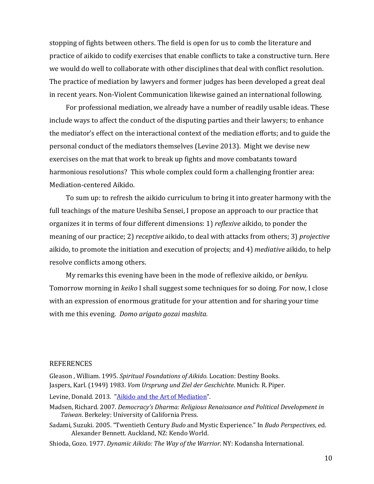stopping of fights between others. The field is open for us to comb the literature and practice of aikido to codify exercises that enable conflicts to take a constructive turn. Here we would do well to collaborate with other disciplines that deal with conflict resolution. The practice of mediation by lawyers and former judges has been developed a great deal in recent years. Non-Violent Communication likewise gained an international following.

For professional mediation, we already have a number of readily usable ideas. These include ways to affect the conduct of the disputing parties and their lawyers; to enhance the mediator's effect on the interactional context of the mediation efforts; and to guide the personal conduct of the mediators themselves (Levine 2013). Might we devise new exercises on the mat that work to break up fights and move combatants toward harmonious resolutions? This whole complex could form a challenging frontier area: Mediation-centered Aikido.

To sum up: to refresh the aikido curriculum to bring it into greater harmony with the full teachings of the mature Ueshiba Sensei, I propose an approach to our practice that organizes it in terms of four different dimensions: 1) *reflexive* aikido, to ponder the meaning of our practice; 2) *receptive* aikido, to deal with attacks from others; 3) *projective* aikido, to promote the initiation and execution of projects; and 4) *mediative* aikido, to help resolve conflicts among others.

My remarks this evening have been in the mode of reflexive aikido, or *benkyu*. Tomorrow morning in *keiko* I shall suggest some techniques for so doing. For now, I close with an expression of enormous gratitude for your attention and for sharing your time with me this evening. *Domo arigato gozai mashita.*

#### **REFERENCES**

Gleason , William. 1995. *Spiritual Foundations of Aikido.* Location: Destiny Books. Jaspers, Karl. (1949) 1983. *Vom Ursprung und Ziel der Geschichte*. Munich: R. Piper.

Levine, Donald. 2013. ["Aikido and the Art of Mediation"](http://www.donlevine.com/uploads/1/1/3/8/11384462/aikido_and_the_art_of_mediation_final.pdf).

- Madsen, Richard. 2007. *Democracy's Dharma: Religious Renaissance and Political Development in Taiwan*. Berkeley: University of California Press.
- Sadami, Suzuki. 2005. "Twentieth Century *Budo* and Mystic Experience." In *Budo Perspectives*, ed. Alexander Bennett. Auckland, NZ: Kendo World.
- Shioda, Gozo. 1977. *Dynamic Aikido: The Way of the Warrior*. NY: Kodansha International.